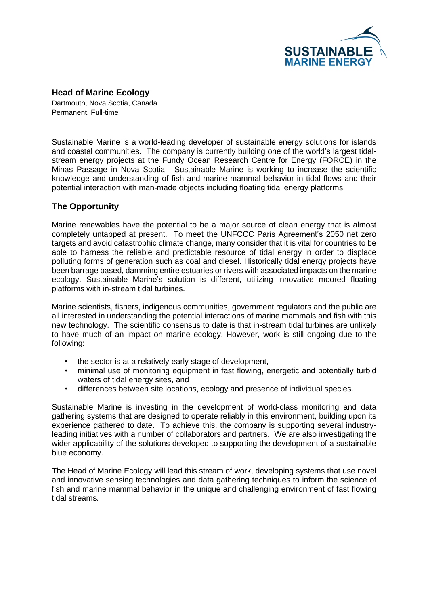

**Head of Marine Ecology**

Dartmouth, Nova Scotia, Canada Permanent, Full-time

Sustainable Marine is a world-leading developer of sustainable energy solutions for islands and coastal communities. The company is currently building one of the world's largest tidalstream energy projects at the Fundy Ocean Research Centre for Energy (FORCE) in the Minas Passage in Nova Scotia. Sustainable Marine is working to increase the scientific knowledge and understanding of fish and marine mammal behavior in tidal flows and their potential interaction with man-made objects including floating tidal energy platforms.

## **The Opportunity**

Marine renewables have the potential to be a major source of clean energy that is almost completely untapped at present. To meet the UNFCCC Paris Agreement's 2050 net zero targets and avoid catastrophic climate change, many consider that it is vital for countries to be able to harness the reliable and predictable resource of tidal energy in order to displace polluting forms of generation such as coal and diesel. Historically tidal energy projects have been barrage based, damming entire estuaries or rivers with associated impacts on the marine ecology. Sustainable Marine's solution is different, utilizing innovative moored floating platforms with in-stream tidal turbines.

Marine scientists, fishers, indigenous communities, government regulators and the public are all interested in understanding the potential interactions of marine mammals and fish with this new technology. The scientific consensus to date is that in-stream tidal turbines are unlikely to have much of an impact on marine ecology. However, work is still ongoing due to the following:

- the sector is at a relatively early stage of development,
- minimal use of monitoring equipment in fast flowing, energetic and potentially turbid waters of tidal energy sites, and
- differences between site locations, ecology and presence of individual species.

Sustainable Marine is investing in the development of world-class monitoring and data gathering systems that are designed to operate reliably in this environment, building upon its experience gathered to date. To achieve this, the company is supporting several industryleading initiatives with a number of collaborators and partners. We are also investigating the wider applicability of the solutions developed to supporting the development of a sustainable blue economy.

The Head of Marine Ecology will lead this stream of work, developing systems that use novel and innovative sensing technologies and data gathering techniques to inform the science of fish and marine mammal behavior in the unique and challenging environment of fast flowing tidal streams.